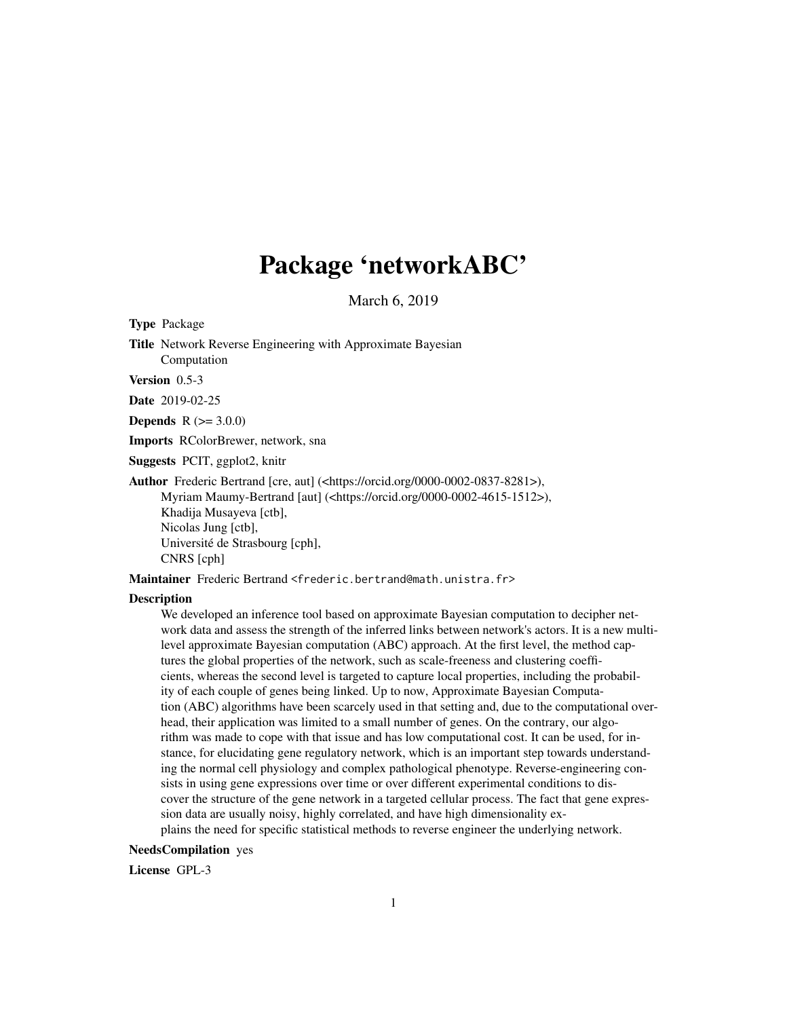# Package 'networkABC'

March 6, 2019

Type Package

Title Network Reverse Engineering with Approximate Bayesian Computation

Version 0.5-3

Date 2019-02-25

**Depends**  $R (= 3.0.0)$ 

Imports RColorBrewer, network, sna

Suggests PCIT, ggplot2, knitr

Author Frederic Bertrand [cre, aut] (<https://orcid.org/0000-0002-0837-8281>), Myriam Maumy-Bertrand [aut] (<https://orcid.org/0000-0002-4615-1512>), Khadija Musayeva [ctb], Nicolas Jung [ctb], Université de Strasbourg [cph], CNRS [cph]

Maintainer Frederic Bertrand <frederic.bertrand@math.unistra.fr>

#### **Description**

We developed an inference tool based on approximate Bayesian computation to decipher network data and assess the strength of the inferred links between network's actors. It is a new multilevel approximate Bayesian computation (ABC) approach. At the first level, the method captures the global properties of the network, such as scale-freeness and clustering coefficients, whereas the second level is targeted to capture local properties, including the probability of each couple of genes being linked. Up to now, Approximate Bayesian Computation (ABC) algorithms have been scarcely used in that setting and, due to the computational overhead, their application was limited to a small number of genes. On the contrary, our algorithm was made to cope with that issue and has low computational cost. It can be used, for instance, for elucidating gene regulatory network, which is an important step towards understanding the normal cell physiology and complex pathological phenotype. Reverse-engineering consists in using gene expressions over time or over different experimental conditions to discover the structure of the gene network in a targeted cellular process. The fact that gene expression data are usually noisy, highly correlated, and have high dimensionality explains the need for specific statistical methods to reverse engineer the underlying network.

### NeedsCompilation yes

License GPL-3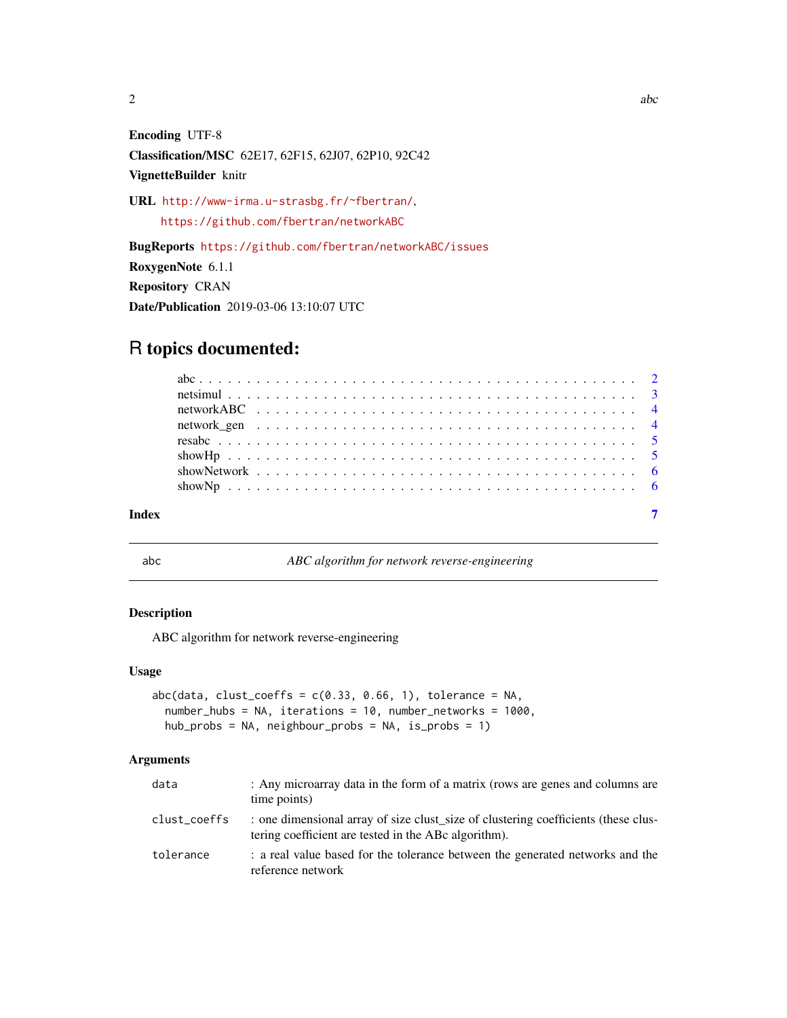<span id="page-1-0"></span>

Encoding UTF-8 Classification/MSC 62E17, 62F15, 62J07, 62P10, 92C42 VignetteBuilder knitr

URL <http://www-irma.u-strasbg.fr/~fbertran/>, <https://github.com/fbertran/networkABC>

BugReports <https://github.com/fbertran/networkABC/issues> RoxygenNote 6.1.1 Repository CRAN Date/Publication 2019-03-06 13:10:07 UTC

## R topics documented:

abc *ABC algorithm for network reverse-engineering*

#### Description

ABC algorithm for network reverse-engineering

#### Usage

```
abc(data, cluster-coeffs = c(0.33, 0.66, 1), tolerance = NA,number_hubs = NA, iterations = 10, number_networks = 1000,
hub_probs = NA, neighbour_probs = NA, is_probs = 1)
```
#### Arguments

| data         | : Any microarray data in the form of a matrix (rows are genes and columns are<br>time points)                                              |
|--------------|--------------------------------------------------------------------------------------------------------------------------------------------|
| clust_coeffs | : one dimensional array of size clust size of clustering coefficients (these clus-<br>tering coefficient are tested in the ABc algorithm). |
| tolerance    | : a real value based for the tolerance between the generated networks and the<br>reference network                                         |

 $2 \cos \theta$  abc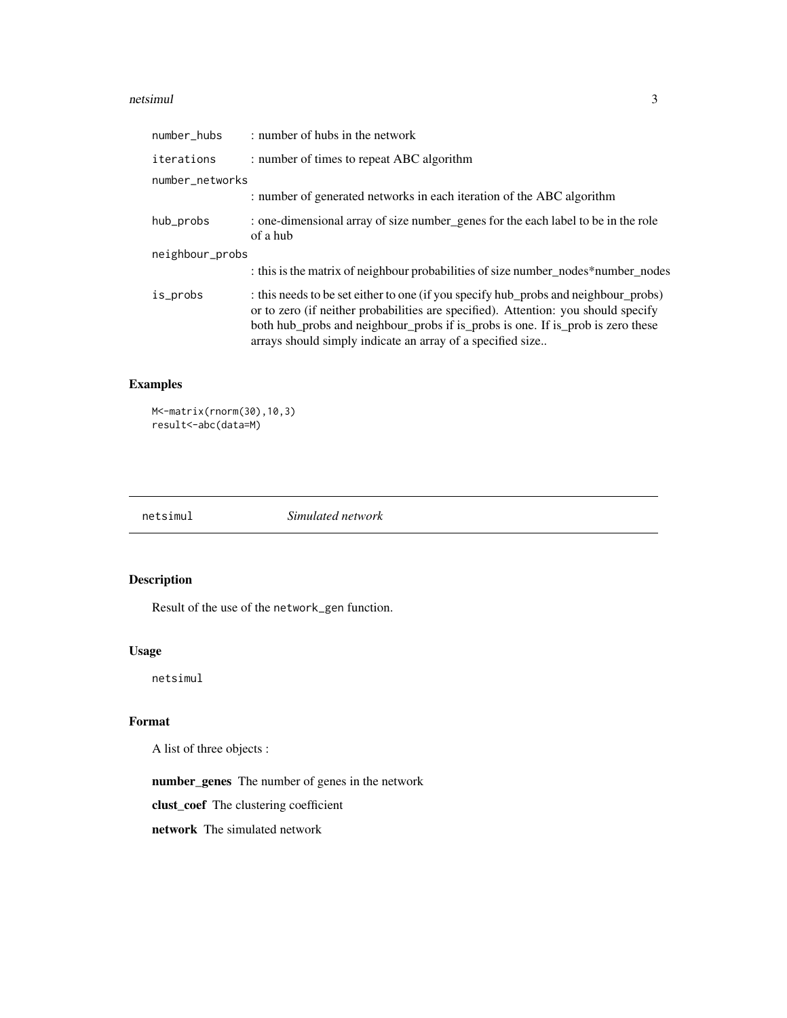#### <span id="page-2-0"></span>netsimul 3

| number_hubs     | : number of hubs in the network                                                                                                                                                                                                                                                                                            |
|-----------------|----------------------------------------------------------------------------------------------------------------------------------------------------------------------------------------------------------------------------------------------------------------------------------------------------------------------------|
| iterations      | : number of times to repeat ABC algorithm                                                                                                                                                                                                                                                                                  |
| number_networks |                                                                                                                                                                                                                                                                                                                            |
|                 | : number of generated networks in each iteration of the ABC algorithm                                                                                                                                                                                                                                                      |
| hub_probs       | : one-dimensional array of size number genes for the each label to be in the role<br>of a hub                                                                                                                                                                                                                              |
| neighbour_probs |                                                                                                                                                                                                                                                                                                                            |
|                 | : this is the matrix of neighbour probabilities of size number_nodes*number_nodes                                                                                                                                                                                                                                          |
| is_probs        | : this needs to be set either to one (if you specify hub_probs and neighbour_probs)<br>or to zero (if neither probabilities are specified). Attention: you should specify<br>both hub_probs and neighbour_probs if is_probs is one. If is_prob is zero these<br>arrays should simply indicate an array of a specified size |

#### Examples

M<-matrix(rnorm(30),10,3) result<-abc(data=M)

| netsimuı | Simulated network |  |
|----------|-------------------|--|
|          |                   |  |

### Description

Result of the use of the network\_gen function.

#### Usage

netsimul

#### Format

A list of three objects :

number\_genes The number of genes in the network

clust\_coef The clustering coefficient

network The simulated network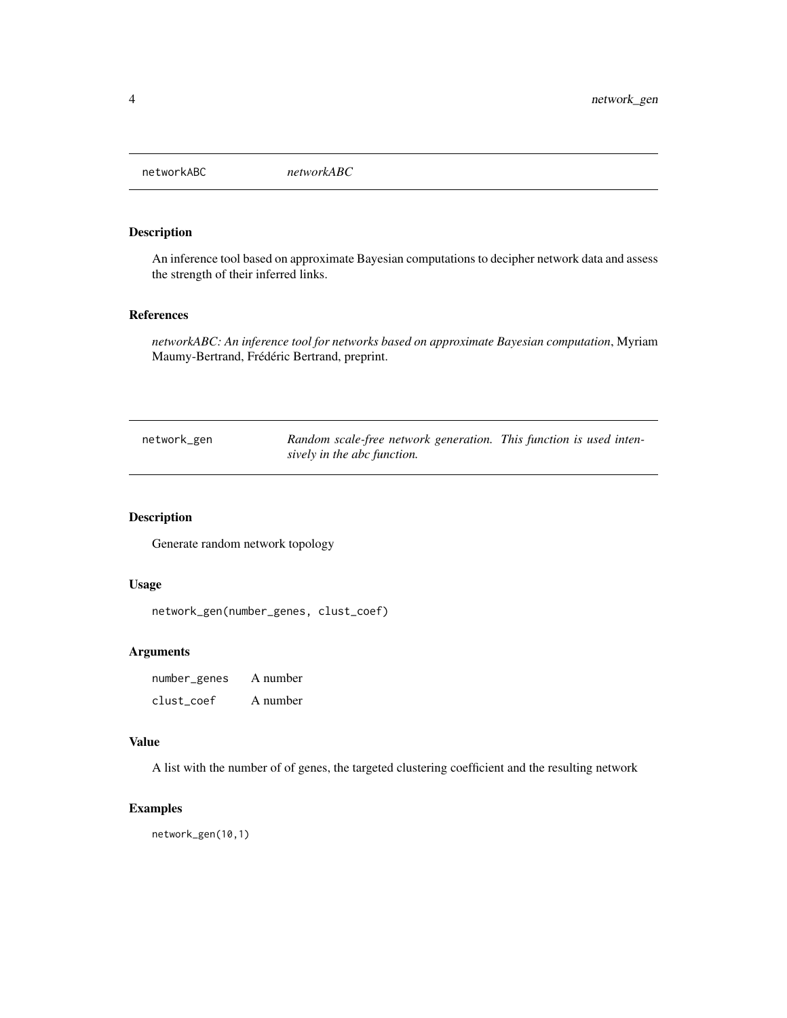<span id="page-3-0"></span>networkABC *networkABC*

#### Description

An inference tool based on approximate Bayesian computations to decipher network data and assess the strength of their inferred links.

#### References

*networkABC: An inference tool for networks based on approximate Bayesian computation*, Myriam Maumy-Bertrand, Frédéric Bertrand, preprint.

| network_gen | Random scale-free network generation. This function is used inten- |  |
|-------------|--------------------------------------------------------------------|--|
|             | sively in the abc function.                                        |  |

#### Description

Generate random network topology

#### Usage

```
network_gen(number_genes, clust_coef)
```
#### Arguments

number\_genes A number clust\_coef A number

#### Value

A list with the number of of genes, the targeted clustering coefficient and the resulting network

#### Examples

network\_gen(10,1)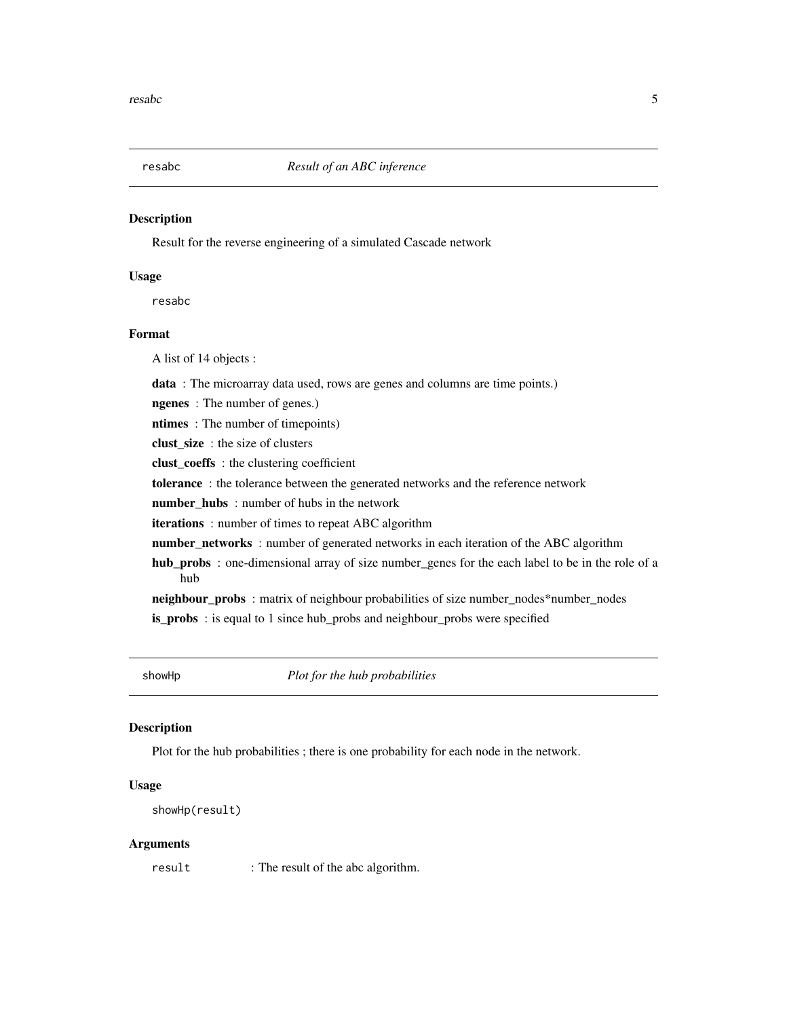<span id="page-4-0"></span>

#### **Description**

Result for the reverse engineering of a simulated Cascade network

#### Usage

resabc

#### Format

A list of 14 objects :

data : The microarray data used, rows are genes and columns are time points.)

ngenes : The number of genes.)

ntimes : The number of timepoints)

clust\_size : the size of clusters

clust\_coeffs : the clustering coefficient

tolerance : the tolerance between the generated networks and the reference network

number\_hubs : number of hubs in the network

iterations : number of times to repeat ABC algorithm

number\_networks : number of generated networks in each iteration of the ABC algorithm

hub\_probs : one-dimensional array of size number\_genes for the each label to be in the role of a hub

neighbour\_probs : matrix of neighbour probabilities of size number\_nodes\*number\_nodes is\_probs : is equal to 1 since hub\_probs and neighbour\_probs were specified

showHp *Plot for the hub probabilities*

#### Description

Plot for the hub probabilities ; there is one probability for each node in the network.

#### Usage

```
showHp(result)
```
#### Arguments

result : The result of the abc algorithm.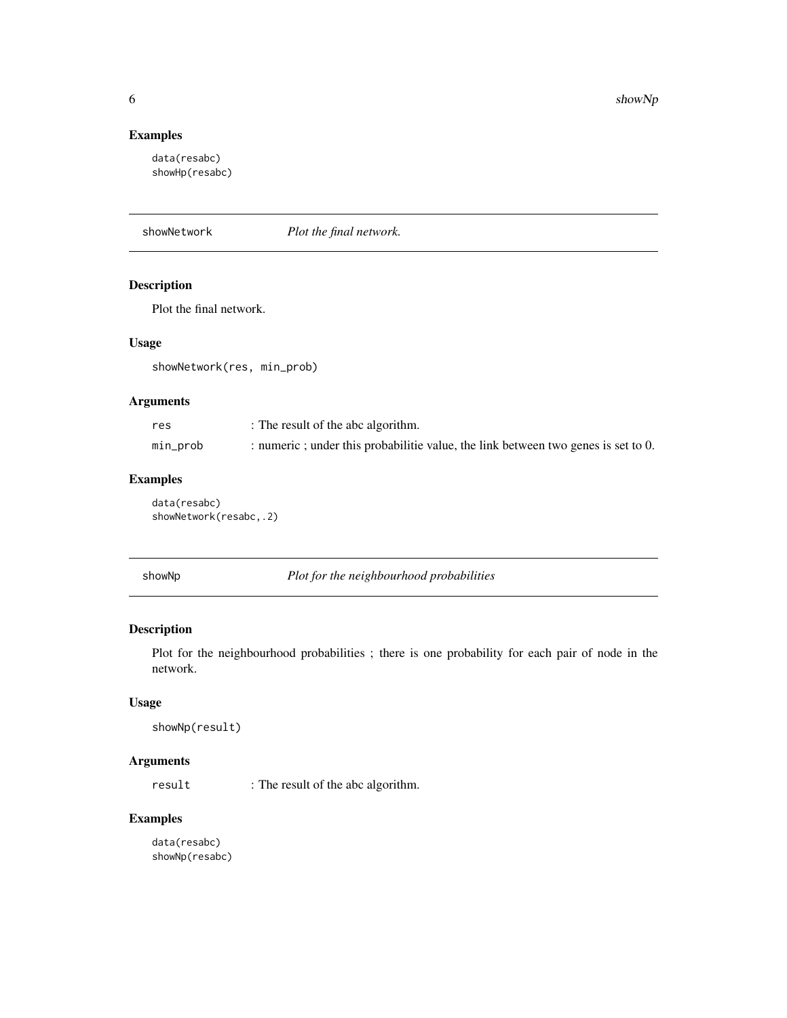#### <span id="page-5-0"></span>Examples

data(resabc) showHp(resabc)

showNetwork *Plot the final network.*

#### Description

Plot the final network.

#### Usage

showNetwork(res, min\_prob)

#### Arguments

| res      | : The result of the abc algorithm.                                                 |
|----------|------------------------------------------------------------------------------------|
| min_prob | : numeric ; under this probabilitie value, the link between two genes is set to 0. |

#### Examples

data(resabc) showNetwork(resabc,.2)

| showNp |  |
|--------|--|
|--------|--|

Plot for the neighbourhood probabilities

#### Description

Plot for the neighbourhood probabilities ; there is one probability for each pair of node in the network.

#### Usage

```
showNp(result)
```
#### Arguments

result : The result of the abc algorithm.

#### Examples

data(resabc) showNp(resabc)